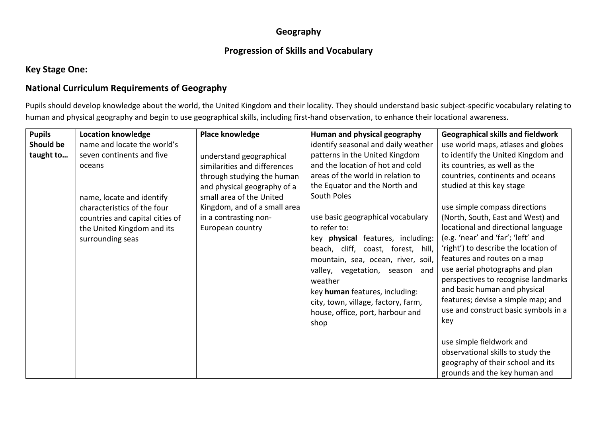#### **Geography**

#### **Progression of Skills and Vocabulary**

### **Key Stage One:**

### **National Curriculum Requirements of Geography**

Pupils should develop knowledge about the world, the United Kingdom and their locality. They should understand basic subject-specific vocabulary relating to human and physical geography and begin to use geographical skills, including first-hand observation, to enhance their locational awareness.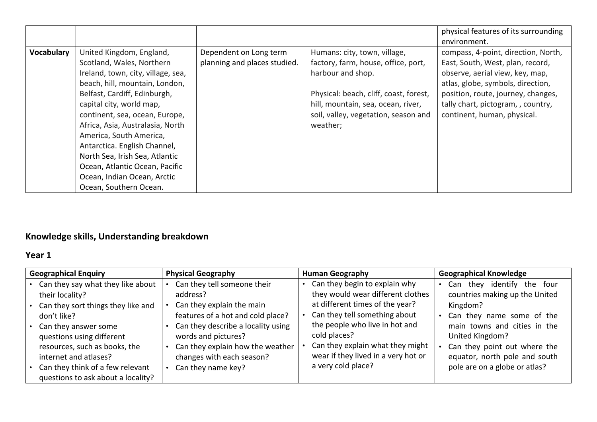| <b>Vocabulary</b><br>United Kingdom, England,<br>Dependent on Long term<br>Humans: city, town, village,<br>planning and places studied.<br>factory, farm, house, office, port,<br>Scotland, Wales, Northern<br>Ireland, town, city, village, sea,<br>harbour and shop.<br>beach, hill, mountain, London,<br>Belfast, Cardiff, Edinburgh,<br>Physical: beach, cliff, coast, forest,<br>capital city, world map,<br>hill, mountain, sea, ocean, river,<br>continent, sea, ocean, Europe,<br>soil, valley, vegetation, season and<br>Africa, Asia, Australasia, North<br>weather;<br>America, South America,<br>Antarctica. English Channel,<br>North Sea, Irish Sea, Atlantic<br>Ocean, Atlantic Ocean, Pacific<br>Ocean, Indian Ocean, Arctic<br>Ocean, Southern Ocean. | environment.<br>compass, 4-point, direction, North,<br>East, South, West, plan, record,<br>observe, aerial view, key, map,<br>atlas, globe, symbols, direction,<br>position, route, journey, changes,<br>tally chart, pictogram, , country,<br>continent, human, physical. |
|------------------------------------------------------------------------------------------------------------------------------------------------------------------------------------------------------------------------------------------------------------------------------------------------------------------------------------------------------------------------------------------------------------------------------------------------------------------------------------------------------------------------------------------------------------------------------------------------------------------------------------------------------------------------------------------------------------------------------------------------------------------------|----------------------------------------------------------------------------------------------------------------------------------------------------------------------------------------------------------------------------------------------------------------------------|

# **Knowledge skills, Understanding breakdown**

## **Year 1**

| Can they begin to explain why<br>Can they say what they like about<br>Can they tell someone their<br>Can<br>they would wear different clothes<br>address?<br>their locality?<br>at different times of the year?<br>Can they explain the main<br>Can they sort things they like and<br>Kingdom?                                                                                                                                                                                                                                                                                                                                        | <b>Geographical Enquiry</b> | <b>Physical Geography</b> | <b>Human Geography</b> | <b>Geographical Knowledge</b>                                                                                                                                                          |  |
|---------------------------------------------------------------------------------------------------------------------------------------------------------------------------------------------------------------------------------------------------------------------------------------------------------------------------------------------------------------------------------------------------------------------------------------------------------------------------------------------------------------------------------------------------------------------------------------------------------------------------------------|-----------------------------|---------------------------|------------------------|----------------------------------------------------------------------------------------------------------------------------------------------------------------------------------------|--|
| Can they tell something about<br>features of a hot and cold place?<br>don't like?<br>the people who live in hot and<br>Can they describe a locality using<br>Can they answer some<br>cold places?<br>United Kingdom?<br>words and pictures?<br>questions using different<br>Can they explain what they might<br>resources, such as books, the<br>Can they explain how the weather<br>wear if they lived in a very hot or<br>changes with each season?<br>internet and atlases?<br>a very cold place?<br>pole are on a globe or atlas?<br>Can they think of a few relevant<br>Can they name key?<br>questions to ask about a locality? |                             |                           |                        | they identify the four<br>countries making up the United<br>Can they name some of the<br>main towns and cities in the<br>Can they point out where the<br>equator, north pole and south |  |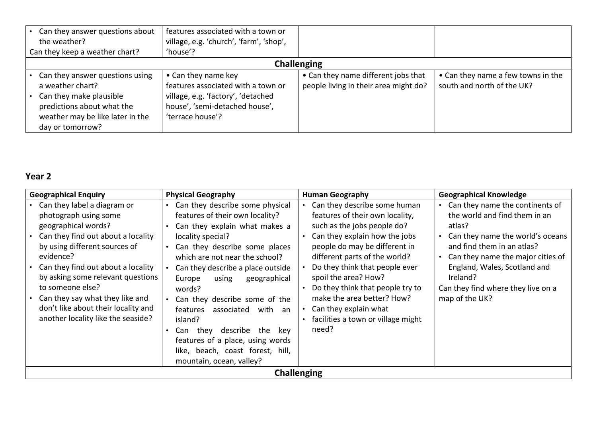| Can they answer questions about<br>the weather?                                                                                                                        | features associated with a town or<br>village, e.g. 'church', 'farm', 'shop',                                                                         |                                                                              |                                                                  |  |
|------------------------------------------------------------------------------------------------------------------------------------------------------------------------|-------------------------------------------------------------------------------------------------------------------------------------------------------|------------------------------------------------------------------------------|------------------------------------------------------------------|--|
| Can they keep a weather chart?                                                                                                                                         | 'house'?                                                                                                                                              |                                                                              |                                                                  |  |
| <b>Challenging</b>                                                                                                                                                     |                                                                                                                                                       |                                                                              |                                                                  |  |
| • Can they answer questions using<br>a weather chart?<br>Can they make plausible<br>predictions about what the<br>weather may be like later in the<br>day or tomorrow? | • Can they name key<br>features associated with a town or<br>village, e.g. 'factory', 'detached<br>house', 'semi-detached house',<br>'terrace house'? | • Can they name different jobs that<br>people living in their area might do? | • Can they name a few towns in the<br>south and north of the UK? |  |

# **Year 2**

| <b>Geographical Enquiry</b>                                                                                                                                                                                                                                                                                                                                                    | <b>Physical Geography</b>                                                                                                                                                                                                                                                                                                                                                                                                                                                                                   | <b>Human Geography</b>                                                                                                                                                                                                                                                                                                                                                                                | <b>Geographical Knowledge</b>                                                                                                                                                                                                                                                         |  |  |
|--------------------------------------------------------------------------------------------------------------------------------------------------------------------------------------------------------------------------------------------------------------------------------------------------------------------------------------------------------------------------------|-------------------------------------------------------------------------------------------------------------------------------------------------------------------------------------------------------------------------------------------------------------------------------------------------------------------------------------------------------------------------------------------------------------------------------------------------------------------------------------------------------------|-------------------------------------------------------------------------------------------------------------------------------------------------------------------------------------------------------------------------------------------------------------------------------------------------------------------------------------------------------------------------------------------------------|---------------------------------------------------------------------------------------------------------------------------------------------------------------------------------------------------------------------------------------------------------------------------------------|--|--|
| Can they label a diagram or<br>photograph using some<br>geographical words?<br>Can they find out about a locality<br>by using different sources of<br>evidence?<br>Can they find out about a locality<br>by asking some relevant questions<br>to someone else?<br>Can they say what they like and<br>don't like about their locality and<br>another locality like the seaside? | Can they describe some physical<br>features of their own locality?<br>Can they explain what makes a<br>locality special?<br>Can they describe some places<br>which are not near the school?<br>Can they describe a place outside<br>geographical<br>Europe<br>using<br>words?<br>Can they describe some of the<br>features<br>with an<br>associated<br>island?<br>thev<br>describe<br>the<br>key<br>Can<br>features of a place, using words<br>like, beach, coast forest, hill,<br>mountain, ocean, valley? | Can they describe some human<br>features of their own locality,<br>such as the jobs people do?<br>Can they explain how the jobs<br>people do may be different in<br>different parts of the world?<br>Do they think that people ever<br>spoil the area? How?<br>Do they think that people try to<br>make the area better? How?<br>Can they explain what<br>facilities a town or village might<br>need? | Can they name the continents of<br>the world and find them in an<br>atlas?<br>Can they name the world's oceans<br>and find them in an atlas?<br>Can they name the major cities of<br>England, Wales, Scotland and<br>Ireland?<br>Can they find where they live on a<br>map of the UK? |  |  |
| <b>Challenging</b>                                                                                                                                                                                                                                                                                                                                                             |                                                                                                                                                                                                                                                                                                                                                                                                                                                                                                             |                                                                                                                                                                                                                                                                                                                                                                                                       |                                                                                                                                                                                                                                                                                       |  |  |